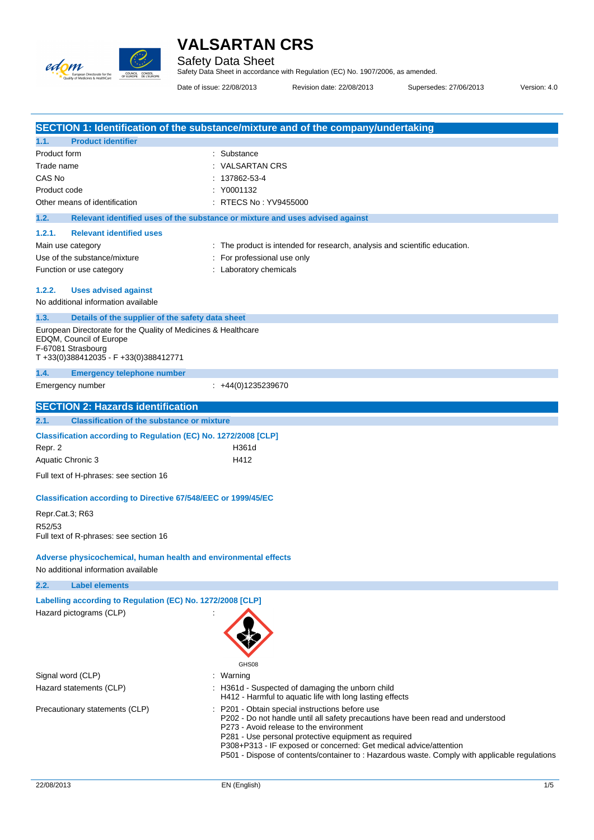

Safety Data Sheet Safety Data Sheet in accordance with Regulation (EC) No. 1907/2006, as amended.

Date of issue: 22/08/2013 Revision date: 22/08/2013 Supersedes: 27/06/2013 Version: 4.0

|                                                                       | SECTION 1: Identification of the substance/mixture and of the company/undertaking                                         |
|-----------------------------------------------------------------------|---------------------------------------------------------------------------------------------------------------------------|
| 1.1.<br><b>Product identifier</b>                                     |                                                                                                                           |
| Product form                                                          | Substance                                                                                                                 |
| Trade name                                                            | <b>VALSARTAN CRS</b>                                                                                                      |
| CAS No                                                                | 137862-53-4                                                                                                               |
| Product code                                                          | Y0001132                                                                                                                  |
| Other means of identification                                         | RTECS No: YV9455000                                                                                                       |
| 1.2.                                                                  | Relevant identified uses of the substance or mixture and uses advised against                                             |
| 1.2.1.<br><b>Relevant identified uses</b>                             |                                                                                                                           |
| Main use category                                                     | The product is intended for research, analysis and scientific education.                                                  |
| Use of the substance/mixture                                          | For professional use only                                                                                                 |
| Function or use category                                              | Laboratory chemicals                                                                                                      |
| 1.2.2.<br><b>Uses advised against</b>                                 |                                                                                                                           |
| No additional information available                                   |                                                                                                                           |
| 1.3.<br>Details of the supplier of the safety data sheet              |                                                                                                                           |
| European Directorate for the Quality of Medicines & Healthcare        |                                                                                                                           |
| EDQM, Council of Europe                                               |                                                                                                                           |
| F-67081 Strasbourg<br>T+33(0)388412035 - F+33(0)388412771             |                                                                                                                           |
| 1.4.<br><b>Emergency telephone number</b>                             |                                                                                                                           |
| Emergency number                                                      | $: +44(0)1235239670$                                                                                                      |
|                                                                       |                                                                                                                           |
| <b>SECTION 2: Hazards identification</b>                              |                                                                                                                           |
| 2.1.<br><b>Classification of the substance or mixture</b>             |                                                                                                                           |
| Classification according to Regulation (EC) No. 1272/2008 [CLP]       |                                                                                                                           |
| Repr. 2                                                               | H361d                                                                                                                     |
| Aquatic Chronic 3                                                     | H412                                                                                                                      |
| Full text of H-phrases: see section 16                                |                                                                                                                           |
| <b>Classification according to Directive 67/548/EEC or 1999/45/EC</b> |                                                                                                                           |
|                                                                       |                                                                                                                           |
| Repr.Cat.3; R63                                                       |                                                                                                                           |
| R52/53<br>Full text of R-phrases: see section 16                      |                                                                                                                           |
|                                                                       |                                                                                                                           |
| Adverse physicochemical, human health and environmental effects       |                                                                                                                           |
| No additional information available                                   |                                                                                                                           |
| 2.2.<br><b>Label elements</b>                                         |                                                                                                                           |
| Labelling according to Regulation (EC) No. 1272/2008 [CLP]            |                                                                                                                           |
| Hazard pictograms (CLP)                                               |                                                                                                                           |
|                                                                       |                                                                                                                           |
|                                                                       |                                                                                                                           |
|                                                                       |                                                                                                                           |
|                                                                       | GHS08                                                                                                                     |
| Signal word (CLP)                                                     | Warning                                                                                                                   |
| Hazard statements (CLP)                                               | H361d - Suspected of damaging the unborn child<br>H412 - Harmful to aquatic life with long lasting effects                |
| Precautionary statements (CLP)                                        | P201 - Obtain special instructions before use                                                                             |
|                                                                       | P202 - Do not handle until all safety precautions have been read and understood                                           |
|                                                                       | P273 - Avoid release to the environment                                                                                   |
|                                                                       | P281 - Use personal protective equipment as required<br>P308+P313 - IF exposed or concerned: Get medical advice/attention |
|                                                                       | P501 - Dispose of contents/container to : Hazardous waste. Comply with applicable regulations                             |
|                                                                       |                                                                                                                           |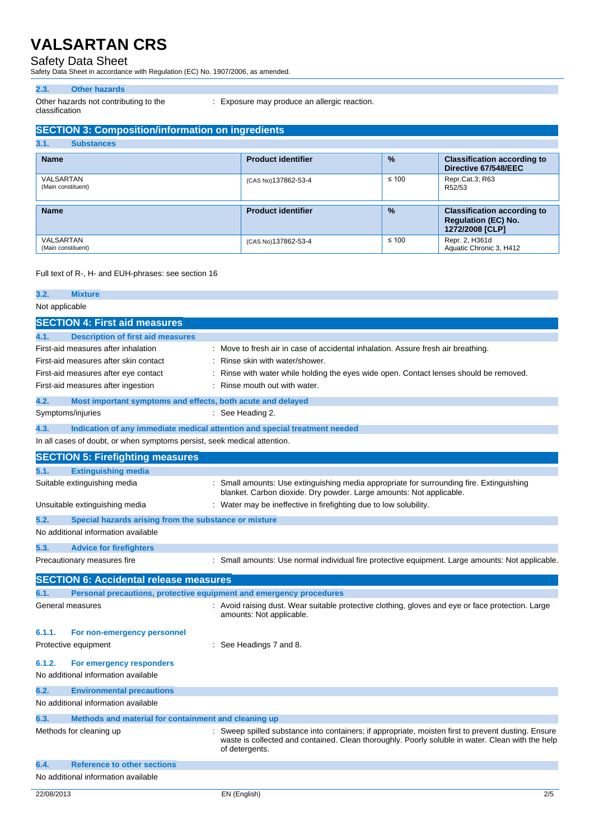Safety Data Sheet Safety Data Sheet in accordance with Regulation (EC) No. 1907/2006, as amended.

#### **2.3. Other hazards**

Other hazards not contributing to the classification

: Exposure may produce an allergic reaction.

## **SECTION 3: Composition/information on ingredients**

| 3.1.<br><b>Substances</b>       |                           |               |                                                                                     |
|---------------------------------|---------------------------|---------------|-------------------------------------------------------------------------------------|
| <b>Name</b>                     | <b>Product identifier</b> | $\frac{9}{6}$ | <b>Classification according to</b><br>Directive 67/548/EEC                          |
| VALSARTAN<br>(Main constituent) | (CAS No)137862-53-4       | $\leq 100$    | Repr.Cat.3; R63<br>R52/53                                                           |
| <b>Name</b>                     | <b>Product identifier</b> | $\frac{9}{6}$ | <b>Classification according to</b><br><b>Regulation (EC) No.</b><br>1272/2008 [CLP] |
| VALSARTAN<br>(Main constituent) | (CAS No)137862-53-4       | $\leq 100$    | Repr. 2, H361d<br>Aquatic Chronic 3, H412                                           |

#### Full text of R-, H- and EUH-phrases: see section 16

| 3.2.           | <b>Mixture</b>                                                           |                                                                                                                                                                                                                         |
|----------------|--------------------------------------------------------------------------|-------------------------------------------------------------------------------------------------------------------------------------------------------------------------------------------------------------------------|
| Not applicable |                                                                          |                                                                                                                                                                                                                         |
|                | <b>SECTION 4: First aid measures</b>                                     |                                                                                                                                                                                                                         |
| 4.1.           | <b>Description of first aid measures</b>                                 |                                                                                                                                                                                                                         |
|                | First-aid measures after inhalation                                      | Move to fresh air in case of accidental inhalation. Assure fresh air breathing.                                                                                                                                         |
|                | First-aid measures after skin contact                                    | Rinse skin with water/shower.                                                                                                                                                                                           |
|                | First-aid measures after eye contact                                     | Rinse with water while holding the eyes wide open. Contact lenses should be removed.                                                                                                                                    |
|                | First-aid measures after ingestion                                       | Rinse mouth out with water.                                                                                                                                                                                             |
| 4.2.           | Most important symptoms and effects, both acute and delayed              |                                                                                                                                                                                                                         |
|                | Symptoms/injuries                                                        | See Heading 2.                                                                                                                                                                                                          |
| 4.3.           |                                                                          | Indication of any immediate medical attention and special treatment needed                                                                                                                                              |
|                | In all cases of doubt, or when symptoms persist, seek medical attention. |                                                                                                                                                                                                                         |
|                | <b>SECTION 5: Firefighting measures</b>                                  |                                                                                                                                                                                                                         |
| 5.1.           | <b>Extinguishing media</b>                                               |                                                                                                                                                                                                                         |
|                | Suitable extinguishing media                                             | Small amounts: Use extinguishing media appropriate for surrounding fire. Extinguishing<br>blanket. Carbon dioxide. Dry powder. Large amounts: Not applicable.                                                           |
|                | Unsuitable extinguishing media                                           | : Water may be ineffective in firefighting due to low solubility.                                                                                                                                                       |
| 5.2.           | Special hazards arising from the substance or mixture                    |                                                                                                                                                                                                                         |
|                | No additional information available                                      |                                                                                                                                                                                                                         |
| 5.3.           | <b>Advice for firefighters</b>                                           |                                                                                                                                                                                                                         |
|                | Precautionary measures fire                                              | : Small amounts: Use normal individual fire protective equipment. Large amounts: Not applicable.                                                                                                                        |
|                | <b>SECTION 6: Accidental release measures</b>                            |                                                                                                                                                                                                                         |
| 6.1.           | Personal precautions, protective equipment and emergency procedures      |                                                                                                                                                                                                                         |
|                | General measures                                                         | Avoid raising dust. Wear suitable protective clothing, gloves and eye or face protection. Large<br>amounts: Not applicable.                                                                                             |
| 6.1.1.         | For non-emergency personnel                                              |                                                                                                                                                                                                                         |
|                | Protective equipment                                                     | See Headings 7 and 8.                                                                                                                                                                                                   |
| 6.1.2.         | For emergency responders                                                 |                                                                                                                                                                                                                         |
|                | No additional information available                                      |                                                                                                                                                                                                                         |
| 6.2.           | <b>Environmental precautions</b>                                         |                                                                                                                                                                                                                         |
|                | No additional information available                                      |                                                                                                                                                                                                                         |
| 6.3.           | Methods and material for containment and cleaning up                     |                                                                                                                                                                                                                         |
|                | Methods for cleaning up                                                  | Sweep spilled substance into containers; if appropriate, moisten first to prevent dusting. Ensure<br>waste is collected and contained. Clean thoroughly. Poorly soluble in water. Clean with the help<br>of detergents. |
| 6.4.           | <b>Reference to other sections</b>                                       |                                                                                                                                                                                                                         |
|                | No additional information available                                      |                                                                                                                                                                                                                         |
|                |                                                                          |                                                                                                                                                                                                                         |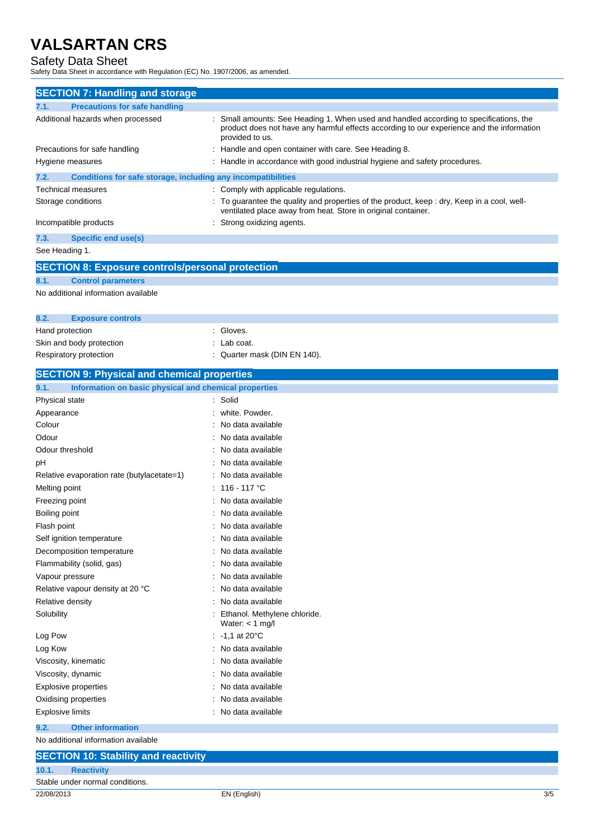Safety Data Sheet Safety Data Sheet in accordance with Regulation (EC) No. 1907/2006, as amended.

| <b>SECTION 7: Handling and storage</b>                               |                                                                                                                                                                                                      |
|----------------------------------------------------------------------|------------------------------------------------------------------------------------------------------------------------------------------------------------------------------------------------------|
| <b>Precautions for safe handling</b><br>7.1.                         |                                                                                                                                                                                                      |
| Additional hazards when processed                                    | Small amounts: See Heading 1. When used and handled according to specifications, the<br>product does not have any harmful effects according to our experience and the information<br>provided to us. |
| Precautions for safe handling                                        | Handle and open container with care. See Heading 8.                                                                                                                                                  |
| Hygiene measures                                                     | : Handle in accordance with good industrial hygiene and safety procedures.                                                                                                                           |
| Conditions for safe storage, including any incompatibilities<br>7.2. |                                                                                                                                                                                                      |
| Technical measures                                                   | : Comply with applicable regulations.                                                                                                                                                                |
| Storage conditions                                                   | To guarantee the quality and properties of the product, keep : dry, Keep in a cool, well-                                                                                                            |
|                                                                      | ventilated place away from heat. Store in original container.                                                                                                                                        |
| Incompatible products                                                | Strong oxidizing agents.                                                                                                                                                                             |
| 7.3.<br><b>Specific end use(s)</b>                                   |                                                                                                                                                                                                      |
| See Heading 1.                                                       |                                                                                                                                                                                                      |
| <b>SECTION 8: Exposure controls/personal protection</b>              |                                                                                                                                                                                                      |
| 8.1.<br><b>Control parameters</b>                                    |                                                                                                                                                                                                      |
| No additional information available                                  |                                                                                                                                                                                                      |
|                                                                      |                                                                                                                                                                                                      |
| 8.2.<br><b>Exposure controls</b>                                     |                                                                                                                                                                                                      |
| Hand protection                                                      | : Gloves.                                                                                                                                                                                            |
| Skin and body protection                                             | : Lab coat.                                                                                                                                                                                          |
| Respiratory protection                                               | Quarter mask (DIN EN 140).                                                                                                                                                                           |
| <b>SECTION 9: Physical and chemical properties</b>                   |                                                                                                                                                                                                      |
| 9.1.<br>Information on basic physical and chemical properties        |                                                                                                                                                                                                      |
| Physical state                                                       | : Solid                                                                                                                                                                                              |
| Appearance                                                           | white, Powder.                                                                                                                                                                                       |
| Colour                                                               | No data available                                                                                                                                                                                    |
| Odour                                                                | No data available                                                                                                                                                                                    |
| Odour threshold                                                      | No data available                                                                                                                                                                                    |
| рH                                                                   | No data available                                                                                                                                                                                    |
| Relative evaporation rate (butylacetate=1)                           | No data available                                                                                                                                                                                    |
| Melting point                                                        | 116 - 117 °C                                                                                                                                                                                         |
| Freezing point                                                       | No data available                                                                                                                                                                                    |
| Boiling point                                                        | No data available                                                                                                                                                                                    |
| Flash point                                                          | : No data available                                                                                                                                                                                  |
| Self ignition temperature                                            | No data available                                                                                                                                                                                    |
| Decomposition temperature                                            | No data available                                                                                                                                                                                    |
| Flammability (solid, gas)                                            | No data available                                                                                                                                                                                    |
| Vapour pressure                                                      | No data available                                                                                                                                                                                    |
| Relative vapour density at 20 °C                                     | No data available                                                                                                                                                                                    |
| Relative density                                                     | No data available                                                                                                                                                                                    |
| Solubility                                                           | Ethanol. Methylene chloride.<br>Water: $<$ 1 mg/l                                                                                                                                                    |
| Log Pow                                                              | $-1.1$ at 20 $^{\circ}$ C                                                                                                                                                                            |
| Log Kow                                                              | No data available                                                                                                                                                                                    |
| Viscosity, kinematic                                                 | No data available                                                                                                                                                                                    |
| Viscosity, dynamic                                                   | No data available                                                                                                                                                                                    |
| <b>Explosive properties</b>                                          | No data available                                                                                                                                                                                    |
| Oxidising properties                                                 | No data available                                                                                                                                                                                    |
| <b>Explosive limits</b>                                              | No data available                                                                                                                                                                                    |
| <b>Other information</b><br>9.2.                                     |                                                                                                                                                                                                      |
| No additional information available                                  |                                                                                                                                                                                                      |
| <b>SECTION 10: Stability and reactivity</b>                          |                                                                                                                                                                                                      |
| 10.1.<br><b>Reactivity</b>                                           |                                                                                                                                                                                                      |
| Stable under normal conditions.                                      |                                                                                                                                                                                                      |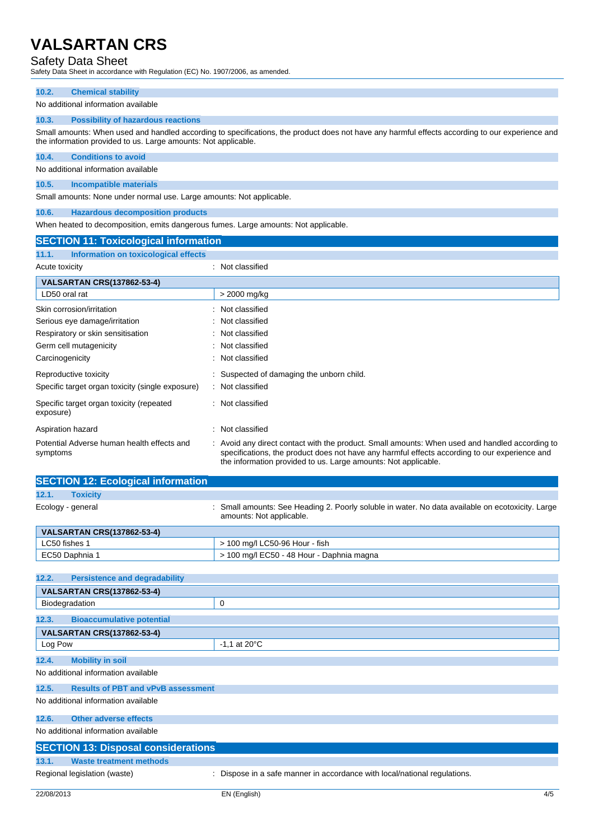Safety Data Sheet Safety Data Sheet in accordance with Regulation (EC) No. 1907/2006, as amended.

| 10.2.                                                                                                                                           | <b>Chemical stability</b>                 |  |
|-------------------------------------------------------------------------------------------------------------------------------------------------|-------------------------------------------|--|
|                                                                                                                                                 | No additional information available       |  |
| 10.3.                                                                                                                                           | <b>Possibility of hazardous reactions</b> |  |
| Small amounts: When used and handled according to specifications, the product does not have any harmful effects according to our experience and |                                           |  |

the information provided to us. Large amounts: Not applicable.

# **10.4. Conditions to avoid**

No additional information available

## **10.5. Incompatible materials**

Small amounts: None under normal use. Large amounts: Not applicable.

### **10.6. Hazardous decomposition products**

When heated to decomposition, emits dangerous fumes. Large amounts: Not applicable.

| <b>SECTION 11: Toxicological information</b>           |                                                                                                                                                                                                                                                                   |
|--------------------------------------------------------|-------------------------------------------------------------------------------------------------------------------------------------------------------------------------------------------------------------------------------------------------------------------|
| 11.1.<br>Information on toxicological effects          |                                                                                                                                                                                                                                                                   |
| Acute toxicity                                         | : Not classified                                                                                                                                                                                                                                                  |
| <b>VALSARTAN CRS(137862-53-4)</b>                      |                                                                                                                                                                                                                                                                   |
| LD50 oral rat                                          | > 2000 mg/kg                                                                                                                                                                                                                                                      |
| Skin corrosion/irritation                              | Not classified                                                                                                                                                                                                                                                    |
| Serious eye damage/irritation                          | : Not classified                                                                                                                                                                                                                                                  |
| Respiratory or skin sensitisation                      | Not classified                                                                                                                                                                                                                                                    |
| Germ cell mutagenicity                                 | Not classified                                                                                                                                                                                                                                                    |
| Carcinogenicity                                        | Not classified                                                                                                                                                                                                                                                    |
| Reproductive toxicity                                  | Suspected of damaging the unborn child.                                                                                                                                                                                                                           |
| Specific target organ toxicity (single exposure)       | : Not classified                                                                                                                                                                                                                                                  |
| Specific target organ toxicity (repeated<br>exposure)  | Not classified                                                                                                                                                                                                                                                    |
| Aspiration hazard                                      | Not classified                                                                                                                                                                                                                                                    |
| Potential Adverse human health effects and<br>symptoms | : Avoid any direct contact with the product. Small amounts: When used and handled according to<br>specifications, the product does not have any harmful effects according to our experience and<br>the information provided to us. Large amounts: Not applicable. |

| <b>SECTION 12: Ecological information</b>          |                                                                                                                            |  |
|----------------------------------------------------|----------------------------------------------------------------------------------------------------------------------------|--|
| <b>Toxicity</b><br>12.1.                           |                                                                                                                            |  |
| Ecology - general                                  | Small amounts: See Heading 2. Poorly soluble in water. No data available on ecotoxicity. Large<br>amounts: Not applicable. |  |
| <b>VALSARTAN CRS(137862-53-4)</b>                  |                                                                                                                            |  |
| LC50 fishes 1                                      | > 100 mg/l LC50-96 Hour - fish                                                                                             |  |
| EC50 Daphnia 1                                     | > 100 mg/l EC50 - 48 Hour - Daphnia magna                                                                                  |  |
|                                                    |                                                                                                                            |  |
| 12.2.<br><b>Persistence and degradability</b>      |                                                                                                                            |  |
| <b>VALSARTAN CRS(137862-53-4)</b>                  |                                                                                                                            |  |
| Biodegradation                                     | 0                                                                                                                          |  |
| <b>Bioaccumulative potential</b><br>12.3.          |                                                                                                                            |  |
| <b>VALSARTAN CRS(137862-53-4)</b>                  |                                                                                                                            |  |
| Log Pow                                            | $-1,1$ at 20 $\degree$ C                                                                                                   |  |
| <b>Mobility in soil</b><br>12.4.                   |                                                                                                                            |  |
| No additional information available                |                                                                                                                            |  |
| <b>Results of PBT and vPvB assessment</b><br>12.5. |                                                                                                                            |  |
| No additional information available                |                                                                                                                            |  |
| <b>Other adverse effects</b><br>12.6.              |                                                                                                                            |  |
| No additional information available                |                                                                                                                            |  |

| <b>SECTION 13: Disposal considerations</b> |                                                                           |
|--------------------------------------------|---------------------------------------------------------------------------|
| 13.1.<br>Waste treatment methods           |                                                                           |
| Regional legislation (waste)               | : Dispose in a safe manner in accordance with local/national regulations. |